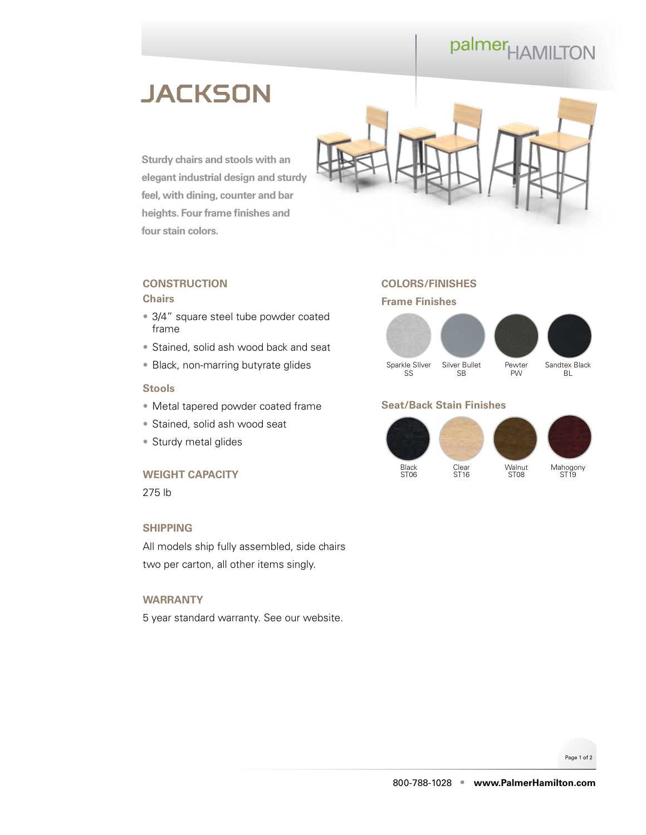# palmer<sub>HAMILTON</sub>

# **JACKSON**

**Sturdy chairs and stools with an elegant industrial design and sturdy feel, with dining, counter and bar heights. Four frame finishes and four stain colors.**



### **CONSTRUCTION Chairs**

- 3/4" square steel tube powder coated frame
- Stained, solid ash wood back and seat
- Black, non-marring butyrate glides

# **Stools**

- Metal tapered powder coated frame
- Stained, solid ash wood seat
- Sturdy metal glides

#### **WEIGHT CAPACITY**

275 lb

# **SHIPPING**

All models ship fully assembled, side chairs two per carton, all other items singly.

#### **WARRANTY**

5 year standard warranty. See our [website.](https://palmerhamilton.com/resources/warranty)

# **COLORS/FINISHES**

## **Frame Finishes**



# **Seat/Back Stain Finishes**



Page 1 of 2